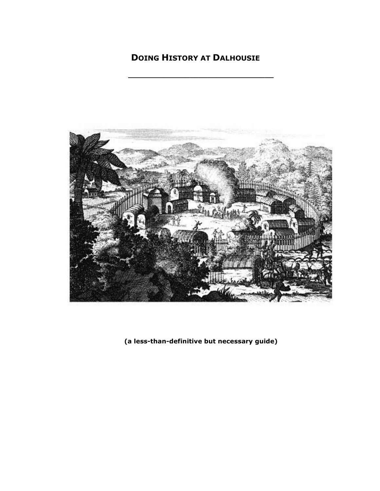# **DOING HISTORY AT DALHOUSIE**

**\_\_\_\_\_\_\_\_\_\_\_\_\_\_\_\_\_\_\_\_\_\_\_\_\_\_\_\_\_\_\_\_\_**



**(a less-than-definitive but necessary guide)**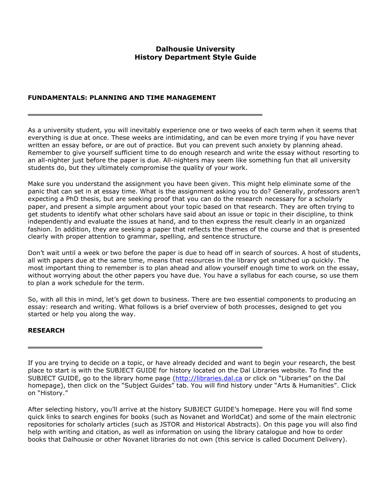# **Dalhousie University History Department Style Guide**

# **FUNDAMENTALS: PLANNING AND TIME MANAGEMENT**

As a university student, you will inevitably experience one or two weeks of each term when it seems that everything is due at once. These weeks are intimidating, and can be even more trying if you have never written an essay before, or are out of practice. But you can prevent such anxiety by planning ahead. Remember to give yourself sufficient time to do enough research and write the essay without resorting to an all-nighter just before the paper is due. All-nighters may seem like something fun that all university students do, but they ultimately compromise the quality of your work.

Make sure you understand the assignment you have been given. This might help eliminate some of the panic that can set in at essay time. What is the assignment asking you to do? Generally, professors aren't expecting a PhD thesis, but are seeking proof that you can do the research necessary for a scholarly paper, and present a simple argument about your topic based on that research. They are often trying to get students to identify what other scholars have said about an issue or topic in their discipline, to think independently and evaluate the issues at hand, and to then express the result clearly in an organized fashion. In addition, they are seeking a paper that reflects the themes of the course and that is presented clearly with proper attention to grammar, spelling, and sentence structure.

Don't wait until a week or two before the paper is due to head off in search of sources. A host of students, all with papers due at the same time, means that resources in the library get snatched up quickly. The most important thing to remember is to plan ahead and allow yourself enough time to work on the essay, without worrying about the other papers you have due. You have a syllabus for each course, so use them to plan a work schedule for the term.

So, with all this in mind, let's get down to business. There are two essential components to producing an essay: research and writing. What follows is a brief overview of both processes, designed to get you started or help you along the way.

# **RESEARCH**

If you are trying to decide on a topic, or have already decided and want to begin your research, the best place to start is with the SUBJECT GUIDE for history located on the Dal Libraries website. To find the SUBJECT GUIDE, go to the library home page [\(http://libraries.dal.ca](http://libraries.dal.ca/) or click on "Libraries" on the Dal homepage), then click on the "Subject Guides" tab. You will find history under "Arts & Humanities". Click on "History."

After selecting history, you'll arrive at the history SUBJECT GUIDE's homepage. Here you will find some quick links to search engines for books (such as Novanet and WorldCat) and some of the main electronic repositories for scholarly articles (such as JSTOR and Historical Abstracts). On this page you will also find help with writing and citation, as well as information on using the library catalogue and how to order books that Dalhousie or other Novanet libraries do not own (this service is called Document Delivery).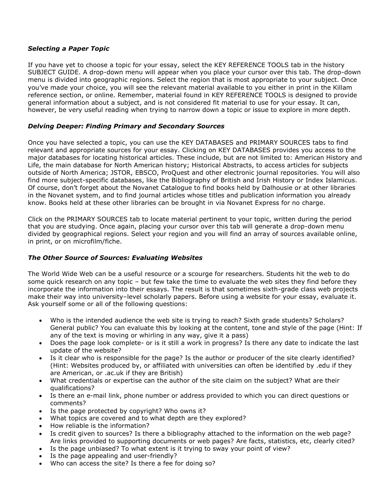# *Selecting a Paper Topic*

If you have yet to choose a topic for your essay, select the KEY REFERENCE TOOLS tab in the history SUBJECT GUIDE. A drop-down menu will appear when you place your cursor over this tab. The drop-down menu is divided into geographic regions. Select the region that is most appropriate to your subject. Once you've made your choice, you will see the relevant material available to you either in print in the Killam reference section, or online. Remember, material found in KEY REFERENCE TOOLS is designed to provide general information about a subject, and is not considered fit material to use for your essay. It can, however, be very useful reading when trying to narrow down a topic or issue to explore in more depth.

# *Delving Deeper: Finding Primary and Secondary Sources*

Once you have selected a topic, you can use the KEY DATABASES and PRIMARY SOURCES tabs to find relevant and appropriate sources for your essay. Clicking on KEY DATABASES provides you access to the major databases for locating historical articles. These include, but are not limited to: American History and Life, the main database for North American history; Historical Abstracts, to access articles for subjects outside of North America; JSTOR, EBSCO, ProQuest and other electronic journal repositories. You will also find more subject-specific databases, like the Bibliography of British and Irish History or Index Islamicus. Of course, don't forget about the Novanet Catalogue to find books held by Dalhousie or at other libraries in the Novanet system, and to find journal articles whose titles and publication information you already know. Books held at these other libraries can be brought in via Novanet Express for no charge.

Click on the PRIMARY SOURCES tab to locate material pertinent to your topic, written during the period that you are studying. Once again, placing your cursor over this tab will generate a drop-down menu divided by geographical regions. Select your region and you will find an array of sources available online, in print, or on microfilm/fiche.

# *The Other Source of Sources: Evaluating Websites*

The World Wide Web can be a useful resource or a scourge for researchers. Students hit the web to do some quick research on any topic – but few take the time to evaluate the web sites they find before they incorporate the information into their essays. The result is that sometimes sixth-grade class web projects make their way into university–level scholarly papers. Before using a website for your essay, evaluate it. Ask yourself some or all of the following questions:

- Who is the intended audience the web site is trying to reach? Sixth grade students? Scholars? General public? You can evaluate this by looking at the content, tone and style of the page (Hint: If any of the text is moving or whirling in any way, give it a pass)
- Does the page look complete- or is it still a work in progress? Is there any date to indicate the last update of the website?
- Is it clear who is responsible for the page? Is the author or producer of the site clearly identified? (Hint: Websites produced by, or affiliated with universities can often be identified by .edu if they are American, or .ac.uk if they are British)
- What credentials or expertise can the author of the site claim on the subject? What are their qualifications?
- Is there an e-mail link, phone number or address provided to which you can direct questions or comments?
- Is the page protected by copyright? Who owns it?
- What topics are covered and to what depth are they explored?
- How reliable is the information?
- Is credit given to sources? Is there a bibliography attached to the information on the web page? Are links provided to supporting documents or web pages? Are facts, statistics, etc, clearly cited?
- Is the page unbiased? To what extent is it trying to sway your point of view?
- Is the page appealing and user-friendly?
- Who can access the site? Is there a fee for doing so?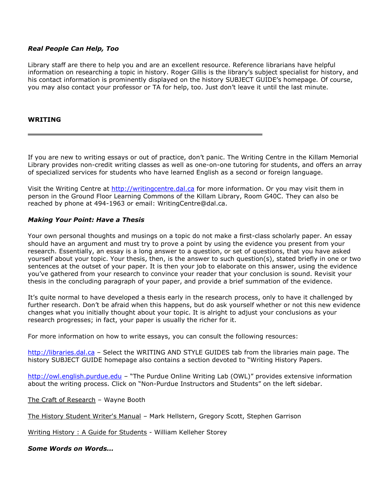#### *Real People Can Help, Too*

Library staff are there to help you and are an excellent resource. Reference librarians have helpful information on researching a topic in history. Roger Gillis is the library's subject specialist for history, and his contact information is prominently displayed on the history SUBJECT GUIDE's homepage. Of course, you may also contact your professor or TA for help, too. Just don't leave it until the last minute.

#### **WRITING**

If you are new to writing essays or out of practice, don't panic. The Writing Centre in the Killam Memorial Library provides non-credit writing classes as well as one-on-one tutoring for students, and offers an array of specialized services for students who have learned English as a second or foreign language.

Visit the Writing Centre at [http://writingcentre.dal.ca](http://writingcentre.dal.ca/) for more information. Or you may visit them in person in the Ground Floor Learning Commons of the Killam Library, Room G40C. They can also be reached by phone at 494-1963 or email: WritingCentre@dal.ca.

#### *Making Your Point: Have a Thesis*

Your own personal thoughts and musings on a topic do not make a first-class scholarly paper. An essay should have an argument and must try to prove a point by using the evidence you present from your research. Essentially, an essay is a long answer to a question, or set of questions, that you have asked yourself about your topic. Your thesis, then, is the answer to such question(s), stated briefly in one or two sentences at the outset of your paper. It is then your job to elaborate on this answer, using the evidence you've gathered from your research to convince your reader that your conclusion is sound. Revisit your thesis in the concluding paragraph of your paper, and provide a brief summation of the evidence.

It's quite normal to have developed a thesis early in the research process, only to have it challenged by further research. Don't be afraid when this happens, but do ask yourself whether or not this new evidence changes what you initially thought about your topic. It is alright to adjust your conclusions as your research progresses; in fact, your paper is usually the richer for it.

For more information on how to write essays, you can consult the following resources:

[http://libraries.dal.ca](http://libraries.dal.ca/) – Select the WRITING AND STYLE GUIDES tab from the libraries main page. The history SUBJECT GUIDE homepage also contains a section devoted to "Writing History Papers.

[http://owl.english.purdue.edu](http://owl.english.purdue.edu/) – "The Purdue Online Writing Lab (OWL)" provides extensive information about the writing process. Click on "Non-Purdue Instructors and Students" on the left sidebar.

The Craft of Research – Wayne Booth

The History Student Writer's Manual - Mark Hellstern, Gregory Scott, Stephen Garrison

Writing History : A Guide for Students - William Kelleher Storey

*Some Words on Words...*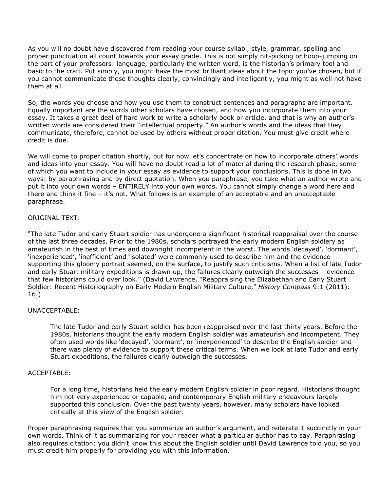As you will no doubt have discovered from reading your course syllabi, style, grammar, spelling and proper punctuation all count towards your essay grade. This is not simply nit-picking or hoop-jumping on the part of your professors: language, particularly the written word, is the historian's primary tool and basic to the craft. Put simply, you might have the most brilliant ideas about the topic you've chosen, but if you cannot communicate those thoughts clearly, convincingly and intelligently, you might as well not have them at all.

So, the words you choose and how you use them to construct sentences and paragraphs are important. Equally important are the words other scholars have chosen, and how you incorporate them into your essay. It takes a great deal of hard work to write a scholarly book or article, and that is why an author's written words are considered their "intellectual property." An author's words and the ideas that they communicate, therefore, cannot be used by others without proper citation. You must give credit where credit is due.

We will come to proper citation shortly, but for now let's concentrate on how to incorporate others' words and ideas into your essay. You will have no doubt read a lot of material during the research phase, some of which you want to include in your essay as evidence to support your conclusions. This is done in two ways: by paraphrasing and by direct quotation. When you paraphrase, you take what an author wrote and put it into your own words – ENTIRELY into your own words. You cannot simply change a word here and there and think it fine – it's not. What follows is an example of an acceptable and an unacceptable paraphrase.

#### ORIGINAL TEXT:

"The late Tudor and early Stuart soldier has undergone a significant historical reappraisal over the course of the last three decades. Prior to the 1980s, scholars portrayed the early modern English soldiery as amateurish in the best of times and downright incompetent in the worst. The words 'decayed', 'dormant', 'inexperienced', 'inefficient' and 'isolated' were commonly used to describe him and the evidence supporting this gloomy portrait seemed, on the surface, to justify such criticisms. When a list of late Tudor and early Stuart military expeditions is drawn up, the failures clearly outweigh the successes – evidence that few historians could over look." (David Lawrence, "Reappraising the Elizabethan and Early Stuart Soldier: Recent Historiography on Early Modern English Military Culture," *History Compass* 9:1 (2011): 16.)

# UNACCEPTABLE:

The late Tudor and early Stuart soldier has been reappraised over the last thirty years. Before the 1980s, historians thought the early modern English soldier was amateurish and incompetent. They often used words like 'decayed', 'dormant', or 'inexperienced' to describe the English soldier and there was plenty of evidence to support these critical terms. When we look at late Tudor and early Stuart expeditions, the failures clearly outweigh the successes.

#### ACCEPTABLE:

For a long time, historians held the early modern English soldier in poor regard. Historians thought him not very experienced or capable, and contemporary English military endeavours largely supported this conclusion. Over the past twenty years, however, many scholars have looked critically at this view of the English soldier.

Proper paraphrasing requires that you summarize an author's argument, and reiterate it succinctly in your own words. Think of it as summarizing for your reader what a particular author has to say. Paraphrasing also requires citation: you didn't know this about the English soldier until David Lawrence told you, so you must credit him properly for providing you with this information.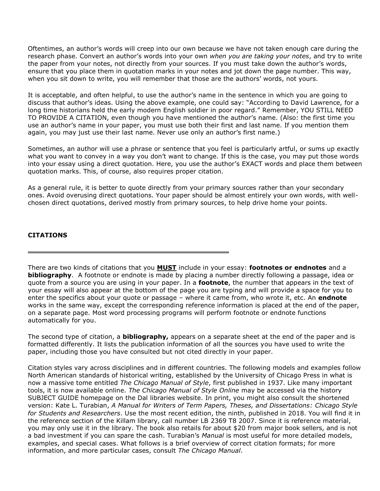Oftentimes, an author's words will creep into our own because we have not taken enough care during the research phase. Convert an author's words into your own *when you are taking your notes*, and try to write the paper from your notes, not directly from your sources. If you must take down the author's words, ensure that you place them in quotation marks in your notes and jot down the page number. This way, when you sit down to write, you will remember that those are the authors' words, not yours.

It is acceptable, and often helpful, to use the author's name in the sentence in which you are going to discuss that author's ideas. Using the above example, one could say: "According to David Lawrence, for a long time historians held the early modern English soldier in poor regard." Remember, YOU STILL NEED TO PROVIDE A CITATION, even though you have mentioned the author's name. (Also: the first time you use an author's name in your paper, you must use both their first and last name. If you mention them again, you may just use their last name. Never use only an author's first name.)

Sometimes, an author will use a phrase or sentence that you feel is particularly artful, or sums up exactly what you want to convey in a way you don't want to change. If this is the case, you may put those words into your essay using a direct quotation. Here, you use the author's EXACT words and place them between quotation marks. This, of course, also requires proper citation.

As a general rule, it is better to quote directly from your primary sources rather than your secondary ones. Avoid overusing direct quotations. Your paper should be almost entirely your own words, with wellchosen direct quotations, derived mostly from primary sources, to help drive home your points.

# **CITATIONS**

There are two kinds of citations that you **MUST** include in your essay: **footnotes or endnotes** and a **bibliography**. A footnote or endnote is made by placing a number directly following a passage, idea or quote from a source you are using in your paper. In a **footnote**, the number that appears in the text of your essay will also appear at the bottom of the page you are typing and will provide a space for you to enter the specifics about your quote or passage – where it came from, who wrote it, etc. An **endnote** works in the same way, except the corresponding reference information is placed at the end of the paper, on a separate page. Most word processing programs will perform footnote or endnote functions automatically for you.

The second type of citation, a **bibliography,** appears on a separate sheet at the end of the paper and is formatted differently. It lists the publication information of all the sources you have used to write the paper, including those you have consulted but not cited directly in your paper.

Citation styles vary across disciplines and in different countries. The following models and examples follow North American standards of historical writing, established by the University of Chicago Press in what is now a massive tome entitled *The Chicago Manual of Style*, first published in 1937. Like many important tools, it is now available online. *The Chicago Manual of Style Online* may be accessed via the history SUBJECT GUIDE homepage on the Dal libraries website. In print, you might also consult the shortened version: Kate L. Turabian, *A Manual for Writers of Term Papers, Theses, and Dissertations: Chicago Style for Students and Researchers*. Use the most recent edition, the ninth, published in 2018. You will find it in the reference section of the Killam library, call number LB 2369 T8 2007. Since it is reference material, you may only use it in the library. The book also retails for about \$20 from major book sellers, and is not a bad investment if you can spare the cash. Turabian's *Manual* is most useful for more detailed models, examples, and special cases. What follows is a brief overview of correct citation formats; for more information, and more particular cases, consult *The Chicago Manual*.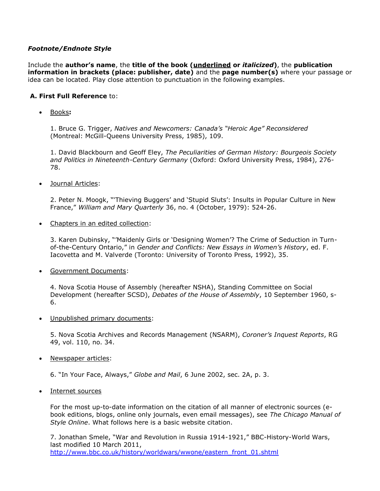# *Footnote/Endnote Style*

Include the **author's name**, the **title of the book (underlined or** *italicized***)**, the **publication information in brackets (place: publisher, date)** and the **page number(s)** where your passage or idea can be located. Play close attention to punctuation in the following examples.

# **A. First Full Reference** to:

Books**:** 

1. Bruce G. Trigger, *Natives and Newcomers: Canada's "Heroic Age" Reconsidered* (Montreal: McGill-Queens University Press, 1985), 109.

1. David Blackbourn and Geoff Eley, *The Peculiarities of German History: Bourgeois Society and Politics in Nineteenth-Century Germany* (Oxford: Oxford University Press, 1984), 276- 78.

• Journal Articles:

2. Peter N. Moogk, "'Thieving Buggers' and 'Stupid Sluts': Insults in Popular Culture in New France," *William and Mary Quarterly* 36, no. 4 (October, 1979): 524-26.

• Chapters in an edited collection:

3. Karen Dubinsky, "'Maidenly Girls or 'Designing Women'? The Crime of Seduction in Turnof-the-Century Ontario," in *Gender and Conflicts: New Essays in Women's History*, ed. F. Iacovetta and M. Valverde (Toronto: University of Toronto Press, 1992), 35.

Government Documents:

4. Nova Scotia House of Assembly (hereafter NSHA), Standing Committee on Social Development (hereafter SCSD), *Debates of the House of Assembly*, 10 September 1960, s-6.

Unpublished primary documents:

5. Nova Scotia Archives and Records Management (NSARM), *Coroner's Inquest Reports*, RG 49, vol. 110, no. 34.

• Newspaper articles:

6. "In Your Face, Always," *Globe and Mail*, 6 June 2002, sec. 2A, p. 3.

• Internet sources

For the most up-to-date information on the citation of all manner of electronic sources (ebook editions, blogs, online only journals, even email messages), see *The Chicago Manual of Style Online*. What follows here is a basic website citation.

7. Jonathan Smele, "War and Revolution in Russia 1914-1921," BBC-History-World Wars, last modified 10 March 2011, [http://www.bbc.co.uk/history/worldwars/wwone/eastern\\_front\\_01.shtml](http://www.bbc.co.uk/history/worldwars/wwone/eastern_front_01.shtml)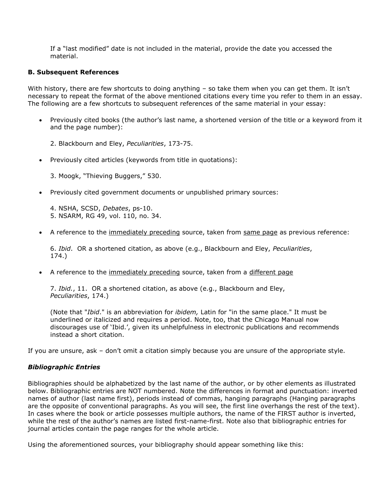If a "last modified" date is not included in the material, provide the date you accessed the material.

#### **B. Subsequent References**

With history, there are few shortcuts to doing anything - so take them when you can get them. It isn't necessary to repeat the format of the above mentioned citations every time you refer to them in an essay. The following are a few shortcuts to subsequent references of the same material in your essay:

 Previously cited books (the author's last name, a shortened version of the title or a keyword from it and the page number):

2. Blackbourn and Eley, *Peculiarities*, 173-75.

Previously cited articles (keywords from title in quotations):

3. Moogk, "Thieving Buggers," 530.

Previously cited government documents or unpublished primary sources:

4. NSHA, SCSD, *Debates*, ps-10. 5. NSARM, RG 49, vol. 110, no. 34.

A reference to the immediately preceding source, taken from same page as previous reference:

6. *Ibid*. OR a shortened citation, as above (e.g., Blackbourn and Eley, *Peculiarities*, 174.)

• A reference to the immediately preceding source, taken from a different page

7. *Ibid.*, 11. OR a shortened citation, as above (e.g., Blackbourn and Eley, *Peculiarities*, 174.)

(Note that "*Ibid*." is an abbreviation for *ibidem,* Latin for "in the same place." It must be underlined or italicized and requires a period. Note, too, that the Chicago Manual now discourages use of 'Ibid.', given its unhelpfulness in electronic publications and recommends instead a short citation.

If you are unsure, ask – don't omit a citation simply because you are unsure of the appropriate style.

#### *Bibliographic Entries*

Bibliographies should be alphabetized by the last name of the author, or by other elements as illustrated below. Bibliographic entries are NOT numbered. Note the differences in format and punctuation: inverted names of author (last name first), periods instead of commas, hanging paragraphs (Hanging paragraphs are the opposite of conventional paragraphs. As you will see, the first line overhangs the rest of the text). In cases where the book or article possesses multiple authors, the name of the FIRST author is inverted, while the rest of the author's names are listed first-name-first. Note also that bibliographic entries for journal articles contain the page ranges for the whole article.

Using the aforementioned sources, your bibliography should appear something like this: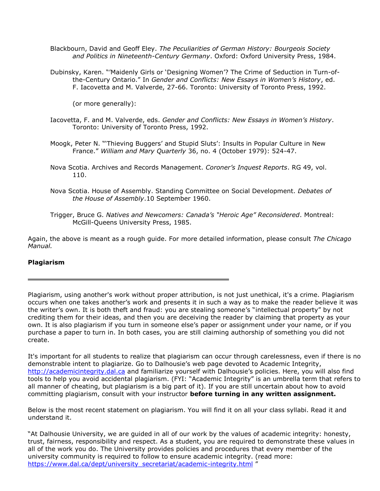- Blackbourn, David and Geoff Eley. *The Peculiarities of German History: Bourgeois Society and Politics in Nineteenth-Century Germany*. Oxford: Oxford University Press, 1984.
- Dubinsky, Karen. "'Maidenly Girls or 'Designing Women'? The Crime of Seduction in Turn-ofthe-Century Ontario." In *Gender and Conflicts: New Essays in Women's History*, ed. F. Iacovetta and M. Valverde, 27-66. Toronto: University of Toronto Press, 1992.

(or more generally):

- Iacovetta, F. and M. Valverde, eds. *Gender and Conflicts: New Essays in Women's History*. Toronto: University of Toronto Press, 1992.
- Moogk, Peter N. "'Thieving Buggers' and Stupid Sluts': Insults in Popular Culture in New France." *William and Mary Quarterly* 36, no. 4 (October 1979): 524-47.
- Nova Scotia. Archives and Records Management. *Coroner's Inquest Reports*. RG 49, vol. 110.
- Nova Scotia. House of Assembly. Standing Committee on Social Development. *Debates of the House of Assembly*.10 September 1960.
- Trigger, Bruce G. *Natives and Newcomers: Canada's "Heroic Age" Reconsidered*. Montreal: McGill-Queens University Press, 1985.

Again, the above is meant as a rough guide. For more detailed information, please consult *The Chicago Manual.*

#### **Plagiarism**

Plagiarism, using another's work without proper attribution, is not just unethical, it's a crime. Plagiarism occurs when one takes another's work and presents it in such a way as to make the reader believe it was the writer's own. It is both theft and fraud: you are stealing someone's "intellectual property" by not crediting them for their ideas, and then you are deceiving the reader by claiming that property as your own. It is also plagiarism if you turn in someone else's paper or assignment under your name, or if you purchase a paper to turn in. In both cases, you are still claiming authorship of something you did not create.

It's important for all students to realize that plagiarism can occur through carelessness, even if there is no demonstrable intent to plagiarize. Go to Dalhousie's web page devoted to Academic Integrity, [http://academicintegrity.dal.ca](http://academicintegrity.dal.ca/) and familiarize yourself with Dalhousie's policies. Here, you will also find tools to help you avoid accidental plagiarism. (FYI: "Academic Integrity" is an umbrella term that refers to all manner of cheating, but plagiarism is a big part of it). If you are still uncertain about how to avoid committing plagiarism, consult with your instructor **before turning in any written assignment.**

Below is the most recent statement on plagiarism. You will find it on all your class syllabi. Read it and understand it.

"At Dalhousie University, we are guided in all of our work by the values of academic integrity: honesty, trust, fairness, responsibility and respect. As a student, you are required to demonstrate these values in all of the work you do. The University provides policies and procedures that every member of the university community is required to follow to ensure academic integrity. (read more: [https://www.dal.ca/dept/university\\_secretariat/academic-integrity.html](https://www.dal.ca/dept/university_secretariat/academic-integrity.html) "